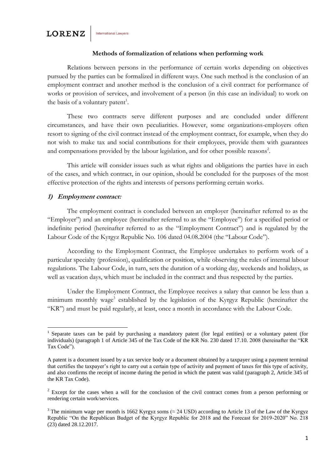#### **Methods of formalization of relations when performing work**

Relations between persons in the performance of certain works depending on objectives pursued by the parties can be formalized in different ways. One such method is the conclusion of an employment contract and another method is the conclusion of a civil contract for performance of works or provision of services, and involvement of a person (in this case an individual) to work on the basis of a voluntary patent<sup>1</sup>.

These two contracts serve different purposes and are concluded under different circumstances, and have their own peculiarities. However, some organizations-employers often resort to signing of the civil contract instead of the employment contract, for example, when they do not wish to make tax and social contributions for their employees, provide them with guarantees and compensations provided by the labour legislation, and for other possible reasons<sup>2</sup>.

This article will consider issues such as what rights and obligations the parties have in each of the cases, and which contract, in our opinion, should be concluded for the purposes of the most effective protection of the rights and interests of persons performing certain works.

#### **1) Employment contract:**

1

The employment contract is concluded between an employer (hereinafter referred to as the "Employer") and an employee (hereinafter referred to as the "Employee") for a specified period or indefinite period (hereinafter referred to as the "Employment Contract") and is regulated by the Labour Code of the Kyrgyz Republic No. 106 dated 04.08.2004 (the "Labour Code").

According to the Employment Contract, the Employee undertakes to perform work of a particular specialty (profession), qualification or position, while observing the rules of internal labour regulations. The Labour Code, in turn, sets the duration of a working day, weekends and holidays, as well as vacation days, which must be included in the contract and thus respected by the parties.

Under the Employment Contract, the Employee receives a salary that cannot be less than a minimum monthly wage<sup>3</sup> established by the legislation of the Kyrgyz Republic (hereinafter the "KR") and must be paid regularly, at least, once a month in accordance with the Labour Code.

<sup>&</sup>lt;sup>1</sup> Separate taxes can be paid by purchasing a mandatory patent (for legal entities) or a voluntary patent (for individuals) (paragraph 1 of Article 345 of the Tax Code of the KR No. 230 dated 17.10. 2008 (hereinafter the "KR Tax Code").

A patent is a document issued by a tax service body or a document obtained by a taxpayer using a payment terminal that certifies the taxpayer's right to carry out a certain type of activity and payment of taxes for this type of activity, and also confirms the receipt of income during the period in which the patent was valid (paragraph 2, Article 345 of the KR Tax Code).

<sup>&</sup>lt;sup>2</sup> Except for the cases when a will for the conclusion of the civil contract comes from a person performing or rendering certain work/services.

<sup>&</sup>lt;sup>3</sup> The minimum wage per month is 1662 Kyrgyz soms ( $\approx$  24 USD) according to Article 13 of the Law of the Kyrgyz Republic "On the Republican Budget of the Kyrgyz Republic for 2018 and the Forecast for 2019-2020" No. 218 (23) dated 28.12.2017.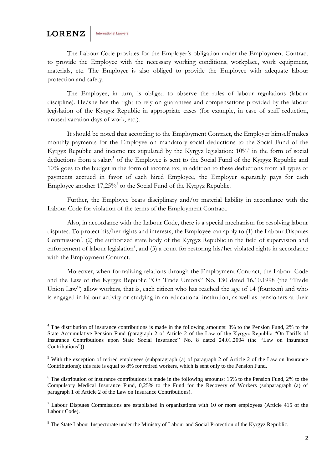**International Lawyers** 

The Labour Code provides for the Employer's obligation under the Employment Contract to provide the Employee with the necessary working conditions, workplace, work equipment, materials, etc. The Employer is also obliged to provide the Employee with adequate labour protection and safety.

The Employee, in turn, is obliged to observe the rules of labour regulations (labour discipline). He/she has the right to rely on guarantees and compensations provided by the labour legislation of the Kyrgyz Republic in appropriate cases (for example, in case of staff reduction, unused vacation days of work, etc.).

It should be noted that according to the Employment Contract, the Employer himself makes monthly payments for the Employee on mandatory social deductions to the Social Fund of the Kyrgyz Republic and income tax stipulated by the Kyrgyz legislation: 10%<sup>4</sup> in the form of social deductions from a salary<sup>5</sup> of the Employee is sent to the Social Fund of the Kyrgyz Republic and 10% goes to the budget in the form of income tax; in addition to these deductions from all types of payments accrued in favor of each hired Employee, the Employer separately pays for each Employee another 17,25% to the Social Fund of the Kyrgyz Republic.

Further, the Employee bears disciplinary and/or material liability in accordance with the Labour Code for violation of the terms of the Employment Contract.

Also, in accordance with the Labour Code, there is a special mechanism for resolving labour disputes. To protect his/her rights and interests, the Employee can apply to (1) the Labour Disputes Commission<sup>7</sup>, (2) the authorized state body of the Kyrgyz Republic in the field of supervision and enforcement of labour legislation<sup>8</sup>, and (3) a court for restoring his/her violated rights in accordance with the Employment Contract.

Moreover, when formalizing relations through the Employment Contract, the Labour Code and the Law of the Kyrgyz Republic "On Trade Unions" No. 130 dated 16.10.1998 (the "Trade Union Law") allow workers, that is, each citizen who has reached the age of 14 (fourteen) and who is engaged in labour activity or studying in an educational institution, as well as pensioners at their

**<sup>.</sup>** <sup>4</sup> The distribution of insurance contributions is made in the following amounts: 8% to the Pension Fund, 2% to the State Accumulative Pension Fund (paragraph 2 of Article 2 of the Law of the Kyrgyz Republic "On Tariffs of Insurance Contributions upon State Social Insurance" No. 8 dated 24.01.2004 (the "Law on Insurance Contributions")).

<sup>5</sup> With the exception of retired employees (subparagraph (a) of paragraph 2 of Article 2 of the Law on Insurance Contributions); this rate is equal to 8% for retired workers, which is sent only to the Pension Fund.

<sup>&</sup>lt;sup>6</sup> The distribution of insurance contributions is made in the following amounts: 15% to the Pension Fund, 2% to the Compulsory Medical Insurance Fund, 0,25% to the Fund for the Recovery of Workers (subparagraph (a) of paragraph 1 of Article 2 of the Law on Insurance Contributions).

 $7$  Labour Disputes Commissions are established in organizations with 10 or more employees (Article 415 of the Labour Code).

<sup>&</sup>lt;sup>8</sup> The State Labour Inspectorate under the Ministry of Labour and Social Protection of the Kyrgyz Republic.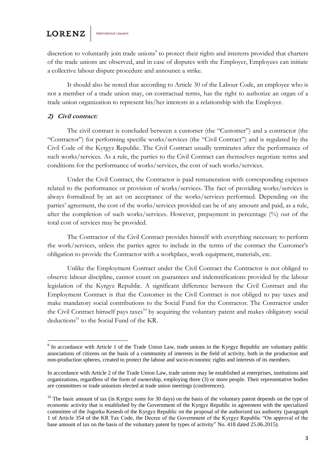discretion to voluntarily join trade unions<sup>9</sup> to protect their rights and interests provided that charters of the trade unions are observed, and in case of disputes with the Employer, Employees can initiate a collective labour dispute procedure and announce a strike.

It should also be noted that according to Article 30 of the Labour Code, an employee who is not a member of a trade union may, on contractual terms, has the right to authorize an organ of a trade union organization to represent his/her interests in a relationship with the Employer.

#### **2) Civil contract:**

The civil contract is concluded between a customer (the "Customer") and a contractor (the "Contractor") for performing specific works/services (the "Civil Contract") and is regulated by the Civil Code of the Kyrgyz Republic. The Civil Contract usually terminates after the performance of such works/services. As a rule, the parties to the Civil Contract can themselves negotiate terms and conditions for the performance of works/services, the cost of such works/services.

Under the Civil Contract, the Contractor is paid remuneration with corresponding expenses related to the performance or provision of works/services. The fact of providing works/services is always formalized by an act on acceptance of the works/services performed. Depending on the parties' agreement, the cost of the works/services provided can be of any amount and paid, as a rule, after the completion of such works/services. However, prepayment in percentage (%) out of the total cost of services may be provided.

The Contractor of the Civil Contract provides himself with everything necessary to perform the work/services, unless the parties agree to include in the terms of the contract the Customer's obligation to provide the Contractor with a workplace, work equipment, materials, etc.

Unlike the Employment Contract under the Civil Contract the Contractor is not obliged to observe labour discipline, cannot count on guarantees and indemnifications provided by the labour legislation of the Kyrgyz Republic. A significant difference between the Civil Contract and the Employment Contract is that the Customer in the Civil Contract is not obliged to pay taxes and make mandatory social contributions to the Social Fund for the Contractor. The Contractor under the Civil Contract himself pays taxes<sup>10</sup> by acquiring the voluntary patent and makes obligatory social  $deductions<sup>11</sup>$  to the Social Fund of the KR.

<sup>&</sup>lt;sup>9</sup> In accordance with Article 1 of the Trade Union Law, trade unions in the Kyrgyz Republic are voluntary public associations of citizens on the basis of a community of interests in the field of activity, both in the production and non-production spheres, created to protect the labour and socio-economic rights and interests of its members.

In accordance with Article 2 of the Trade Union Law, trade unions may be established at enterprises, institutions and organizations, regardless of the form of ownership, employing three (3) or more people. Their representative bodies are committees or trade unionists elected at trade union meetings (conferences).

 $10$  The basic amount of tax (in Kyrgyz soms for 30 days) on the basis of the voluntary patent depends on the type of economic activity that is established by the Government of the Kyrgyz Republic in agreement with the specialized committee of the Jogorku Kenesh of the Kyrgyz Republic on the proposal of the authorized tax authority (paragraph 1 of Article 354 of the KR Tax Code, the Decree of the Government of the Kyrgyz Republic "On approval of the base amount of tax on the basis of the voluntary patent by types of activity" No. 418 dated 25.06.2015).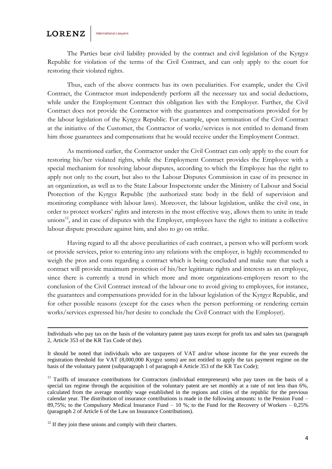**.** 

The Parties bear civil liability provided by the contract and civil legislation of the Kyrgyz Republic for violation of the terms of the Civil Contract, and can only apply to the court for restoring their violated rights.

Thus, each of the above contracts has its own peculiarities. For example, under the Civil Contract, the Contractor must independently perform all the necessary tax and social deductions, while under the Employment Contract this obligation lies with the Employer. Further, the Civil Contract does not provide the Contractor with the guarantees and compensations provided for by the labour legislation of the Kyrgyz Republic. For example, upon termination of the Civil Contract at the initiative of the Customer, the Contractor of works/services is not entitled to demand from him those guarantees and compensations that he would receive under the Employment Contract.

As mentioned earlier, the Contractor under the Civil Contract can only apply to the court for restoring his/her violated rights, while the Employment Contract provides the Employee with a special mechanism for resolving labour disputes, according to which the Employee has the right to apply not only to the court, but also to the Labour Disputes Commission in case of its presence in an organization, as well as to the State Labour Inspectorate under the Ministry of Labour and Social Protection of the Kyrgyz Republic (the authorized state body in the field of supervision and monitoring compliance with labour laws). Moreover, the labour legislation, unlike the civil one, in order to protect workers' rights and interests in the most effective way, allows them to unite in trade unions<sup>12</sup>, and in case of disputes with the Employer, employees have the right to initiate a collective labour dispute procedure against him, and also to go on strike.

Having regard to all the above peculiarities of each contract, a person who will perform work or provide services, prior to entering into any relations with the employer, is highly recommended to weigh the pros and cons regarding a contract which is being concluded and make sure that such a contract will provide maximum protection of his/her legitimate rights and interests as an employee, since there is currently a trend in which more and more organizations-employers resort to the conclusion of the Civil Contract instead of the labour one to avoid giving to employees, for instance, the guarantees and compensations provided for in the labour legislation of the Kyrgyz Republic, and for other possible reasons (except for the cases when the person performing or rendering certain works/services expressed his/her desire to conclude the Civil Contract with the Employer).

Individuals who pay tax on the basis of the voluntary patent pay taxes except for profit tax and sales tax (paragraph 2, Article 353 of the KR Tax Code of the).

It should be noted that individuals who are taxpayers of VAT and/or whose income for the year exceeds the registration threshold for VAT (8,000,000 Kyrgyz soms) are not entitled to apply the tax payment regime on the basis of the voluntary patent (subparagraph 1 of paragraph 4 Article 353 of the KR Tax Code);

<sup>&</sup>lt;sup>11</sup> Tariffs of insurance contributions for Contractors (individual entrepreneurs) who pay taxes on the basis of a special tax regime through the acquisition of the voluntary patent are set monthly at a rate of not less than 6%, calculated from the average monthly wage established in the regions and cities of the republic for the previous calendar year. The distribution of insurance contributions is made in the following amounts: to the Pension Fund – 89,75%; to the Compulsory Medical Insurance Fund  $-10$  %; to the Fund for the Recovery of Workers  $-0.25$ % (paragraph 2 of Article 6 of the Law on Insurance Contributions).

 $12$  If they join these unions and comply with their charters.